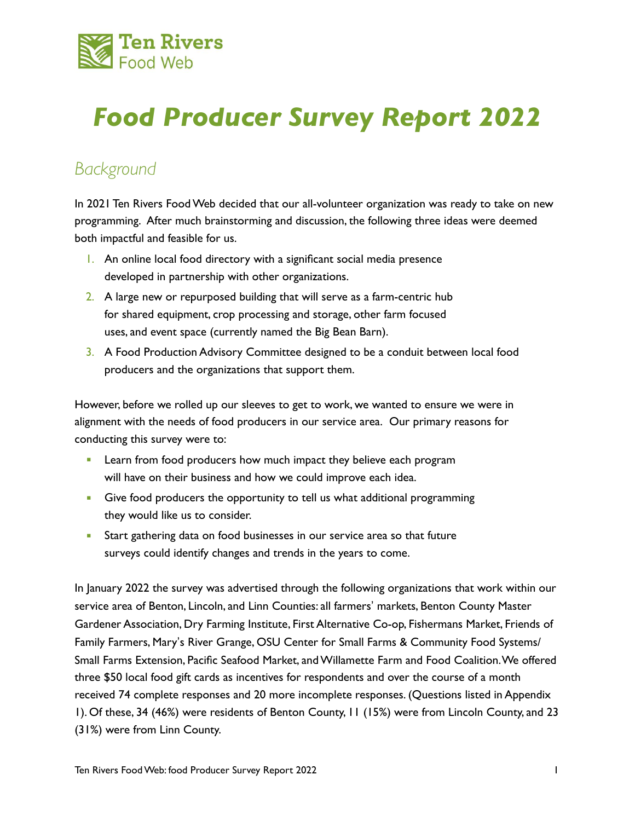

# *Food Producer Survey Report 2022*

## *Background*

In 2021 Ten Rivers Food Web decided that our all-volunteer organization was ready to take on new programming. After much brainstorming and discussion, the following three ideas were deemed both impactful and feasible for us.

- 1. An online local food directory with a significant social media presence developed in partnership with other organizations.
- 2. A large new or repurposed building that will serve as a farm-centric hub for shared equipment, crop processing and storage, other farm focused uses, and event space (currently named the Big Bean Barn).
- 3. A Food Production Advisory Committee designed to be a conduit between local food producers and the organizations that support them.

However, before we rolled up our sleeves to get to work, we wanted to ensure we were in alignment with the needs of food producers in our service area. Our primary reasons for conducting this survey were to:

- **EXECT** Learn from food producers how much impact they believe each program will have on their business and how we could improve each idea.
- **Give food producers the opportunity to tell us what additional programming** they would like us to consider.
- **EXECT:** Start gathering data on food businesses in our service area so that future surveys could identify changes and trends in the years to come.

In January 2022 the survey was advertised through the following organizations that work within our service area of Benton, Lincoln, and Linn Counties: all farmers' markets, Benton County Master Gardener Association, Dry Farming Institute, First Alternative Co-op, Fishermans Market, Friends of Family Farmers, Mary's River Grange, OSU Center for Small Farms & Community Food Systems/ Small Farms Extension, Pacific Seafood Market, and Willamette Farm and Food Coalition. We offered three \$50 local food gift cards as incentives for respondents and over the course of a month received 74 complete responses and 20 more incomplete responses. (Questions listed in Appendix 1). Of these, 34 (46%) were residents of Benton County, 11 (15%) were from Lincoln County, and 23 (31%) were from Linn County.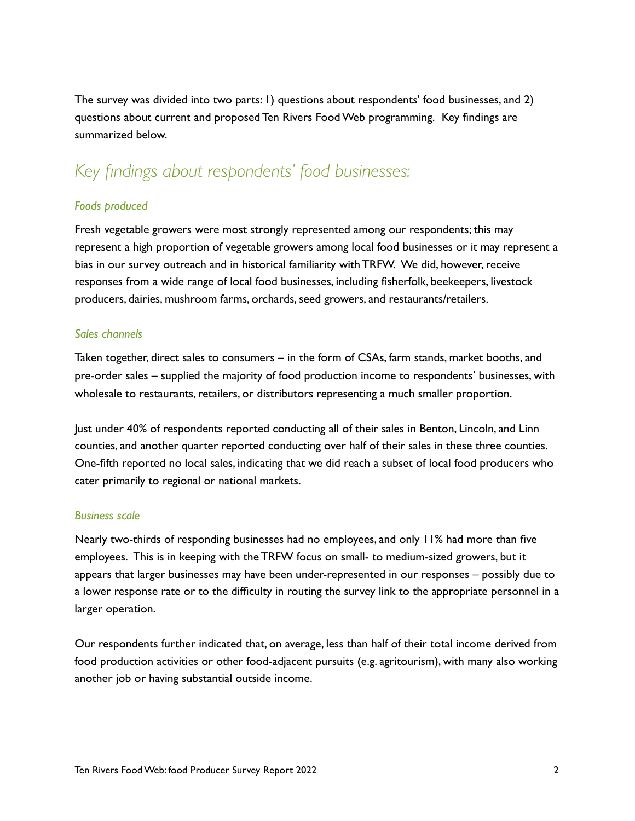The survey was divided into two parts: 1) questions about respondents' food businesses, and 2) questions about current and proposed Ten Rivers Food Web programming. Key findings are summarized below.

## *Key findings about respondents' food businesses:*

### *Foods produced*

Fresh vegetable growers were most strongly represented among our respondents; this may represent a high proportion of vegetable growers among local food businesses or it may represent a bias in our survey outreach and in historical familiarity with TRFW. We did, however, receive responses from a wide range of local food businesses, including fisherfolk, beekeepers, livestock producers, dairies, mushroom farms, orchards, seed growers, and restaurants/retailers.

### *Sales channels*

Taken together, direct sales to consumers – in the form of CSAs, farm stands, market booths, and pre-order sales – supplied the majority of food production income to respondents' businesses, with wholesale to restaurants, retailers, or distributors representing a much smaller proportion.

Just under 40% of respondents reported conducting all of their sales in Benton, Lincoln, and Linn counties, and another quarter reported conducting over half of their sales in these three counties. One-fifth reported no local sales, indicating that we did reach a subset of local food producers who cater primarily to regional or national markets.

#### *Business scale*

Nearly two-thirds of responding businesses had no employees, and only 11% had more than five employees. This is in keeping with the TRFW focus on small- to medium-sized growers, but it appears that larger businesses may have been under-represented in our responses – possibly due to a lower response rate or to the difficulty in routing the survey link to the appropriate personnel in a larger operation.

Our respondents further indicated that, on average, less than half of their total income derived from food production activities or other food-adjacent pursuits (e.g. agritourism), with many also working another job or having substantial outside income.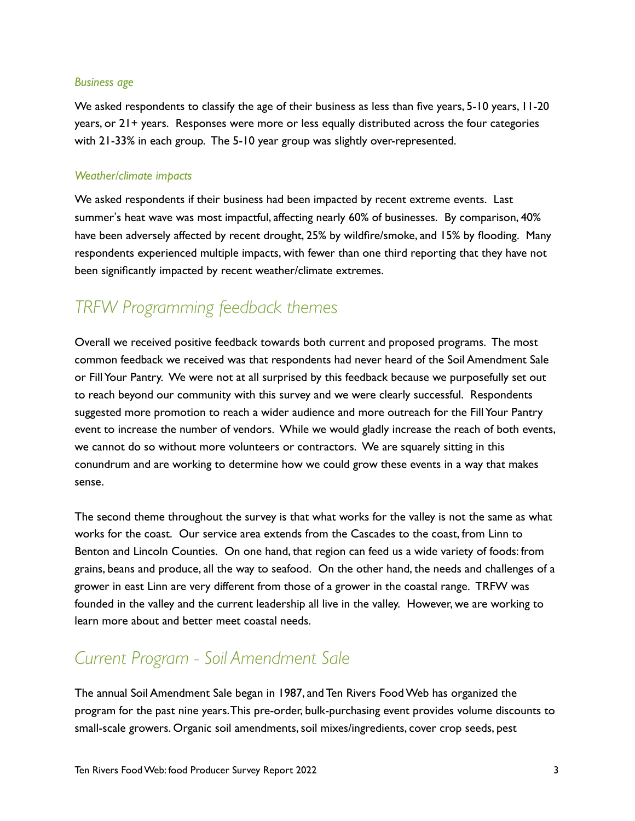#### *Business age*

We asked respondents to classify the age of their business as less than five years, 5-10 years, 11-20 years, or 21+ years. Responses were more or less equally distributed across the four categories with 21-33% in each group. The 5-10 year group was slightly over-represented.

### *Weather/climate impacts*

We asked respondents if their business had been impacted by recent extreme events. Last summer's heat wave was most impactful, affecting nearly 60% of businesses. By comparison, 40% have been adversely affected by recent drought, 25% by wildfire/smoke, and 15% by flooding. Many respondents experienced multiple impacts, with fewer than one third reporting that they have not been significantly impacted by recent weather/climate extremes.

### *TRFW Programming feedback themes*

Overall we received positive feedback towards both current and proposed programs. The most common feedback we received was that respondents had never heard of the Soil Amendment Sale or Fill Your Pantry. We were not at all surprised by this feedback because we purposefully set out to reach beyond our community with this survey and we were clearly successful. Respondents suggested more promotion to reach a wider audience and more outreach for the Fill Your Pantry event to increase the number of vendors. While we would gladly increase the reach of both events, we cannot do so without more volunteers or contractors. We are squarely sitting in this conundrum and are working to determine how we could grow these events in a way that makes sense.

The second theme throughout the survey is that what works for the valley is not the same as what works for the coast. Our service area extends from the Cascades to the coast, from Linn to Benton and Lincoln Counties. On one hand, that region can feed us a wide variety of foods: from grains, beans and produce, all the way to seafood. On the other hand, the needs and challenges of a grower in east Linn are very different from those of a grower in the coastal range. TRFW was founded in the valley and the current leadership all live in the valley. However, we are working to learn more about and better meet coastal needs.

### *Current Program - Soil Amendment Sale*

The annual Soil Amendment Sale began in 1987, and Ten Rivers Food Web has organized the program for the past nine years. This pre-order, bulk-purchasing event provides volume discounts to small-scale growers. Organic soil amendments, soil mixes/ingredients, cover crop seeds, pest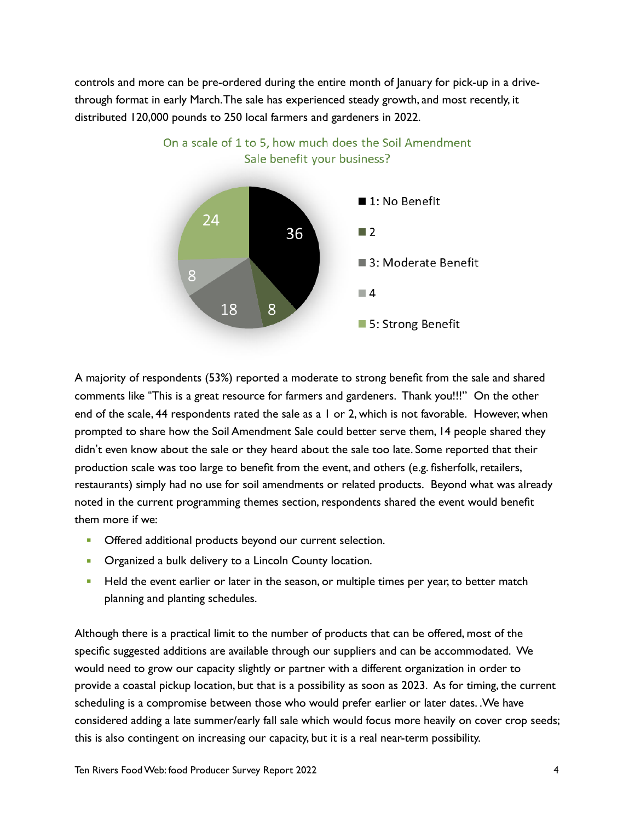controls and more can be pre-ordered during the entire month of January for pick-up in a drivethrough format in early March. The sale has experienced steady growth, and most recently, it distributed 120,000 pounds to 250 local farmers and gardeners in 2022.

On a scale of 1 to 5, how much does the Soil Amendment



A majority of respondents (53%) reported a moderate to strong benefit from the sale and shared comments like #This is a great resource for farmers and gardeners. Thank you!!!" On the other end of the scale, 44 respondents rated the sale as a 1 or 2, which is not favorable. However, when prompted to share how the Soil Amendment Sale could better serve them, 14 people shared they didn't even know about the sale or they heard about the sale too late. Some reported that their production scale was too large to benefit from the event, and others (e.g. fisherfolk, retailers, restaurants) simply had no use for soil amendments or related products. Beyond what was already noted in the current programming themes section, respondents shared the event would benefit them more if we:

- **Offered additional products beyond our current selection.**
- **Organized a bulk delivery to a Lincoln County location.**
- **EXECT** Held the event earlier or later in the season, or multiple times per year, to better match planning and planting schedules.

Although there is a practical limit to the number of products that can be offered, most of the specific suggested additions are available through our suppliers and can be accommodated. We would need to grow our capacity slightly or partner with a different organization in order to provide a coastal pickup location, but that is a possibility as soon as 2023. As for timing, the current scheduling is a compromise between those who would prefer earlier or later dates. .We have considered adding a late summer/early fall sale which would focus more heavily on cover crop seeds; this is also contingent on increasing our capacity, but it is a real near-term possibility.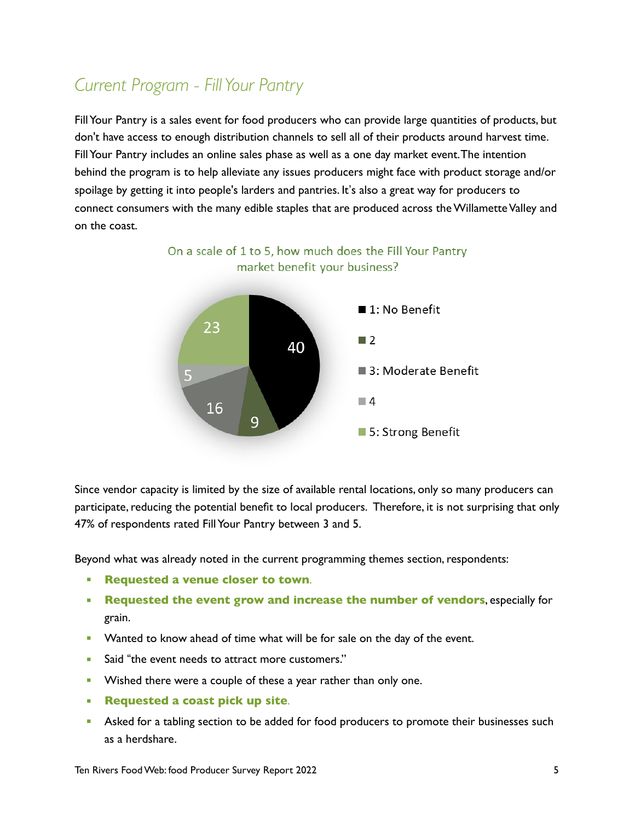### *Current Program - Fill Your Pantry*

Fill Your Pantry is a sales event for food producers who can provide large quantities of products, but don't have access to enough distribution channels to sell all of their products around harvest time. Fill Your Pantry includes an online sales phase as well as a one day market event. The intention behind the program is to help alleviate any issues producers might face with product storage and/or spoilage by getting it into people's larders and pantries. It's also a great way for producers to connect consumers with the many edible staples that are produced across the Willamette Valley and on the coast.



Since vendor capacity is limited by the size of available rental locations, only so many producers can participate, reducing the potential benefit to local producers. Therefore, it is not surprising that only 47% of respondents rated Fill Your Pantry between 3 and 5.

Beyond what was already noted in the current programming themes section, respondents:

- **Requested a venue closer to town**.
- **EXEQUESTED THE EVENT FORM AND INCREASE THE NUMBER OF VENDITS, especially for** grain.
- **■** Wanted to know ahead of time what will be for sale on the day of the event.
- Said "the event needs to attract more customers."
- **EXECT** Wished there were a couple of these a year rather than only one.
- **Requested a coast pick up site**.
- **EXECT** Asked for a tabling section to be added for food producers to promote their businesses such as a herdshare.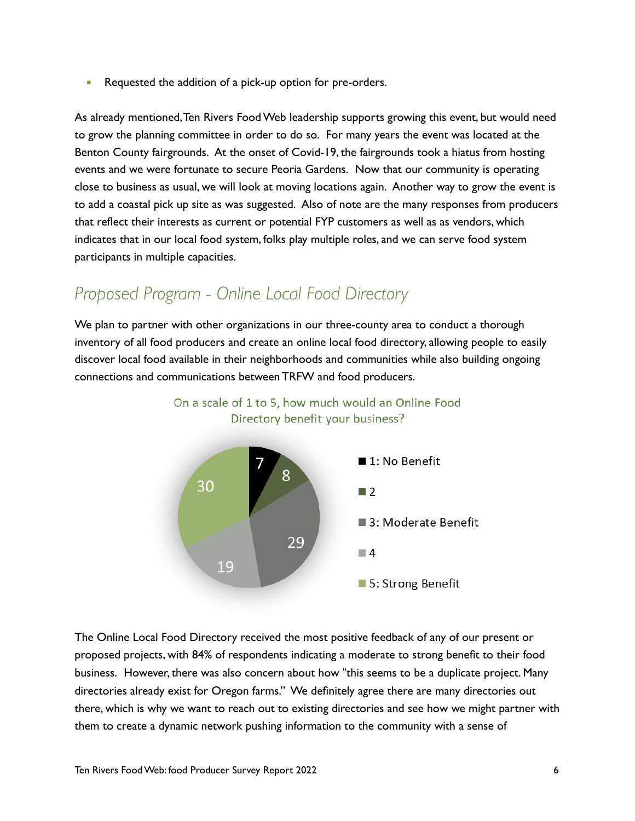■ Requested the addition of a pick-up option for pre-orders.

As already mentioned, Ten Rivers Food Web leadership supports growing this event, but would need to grow the planning committee in order to do so. For many years the event was located at the Benton County fairgrounds. At the onset of Covid-19, the fairgrounds took a hiatus from hosting events and we were fortunate to secure Peoria Gardens. Now that our community is operating close to business as usual, we will look at moving locations again. Another way to grow the event is to add a coastal pick up site as was suggested. Also of note are the many responses from producers that reflect their interests as current or potential FYP customers as well as as vendors, which indicates that in our local food system, folks play multiple roles, and we can serve food system participants in multiple capacities.

### *Proposed Program - Online Local Food Directory*

We plan to partner with other organizations in our three-county area to conduct a thorough inventory of all food producers and create an online local food directory, allowing people to easily discover local food available in their neighborhoods and communities while also building ongoing connections and communications between TRFW and food producers.



On a scale of 1 to 5, how much would an Online Food

The Online Local Food Directory received the most positive feedback of any of our present or proposed projects, with 84% of respondents indicating a moderate to strong benefit to their food business. However, there was also concern about how "this seems to be a duplicate project. Many directories already exist for Oregon farms." We definitely agree there are many directories out there, which is why we want to reach out to existing directories and see how we might partner with them to create a dynamic network pushing information to the community with a sense of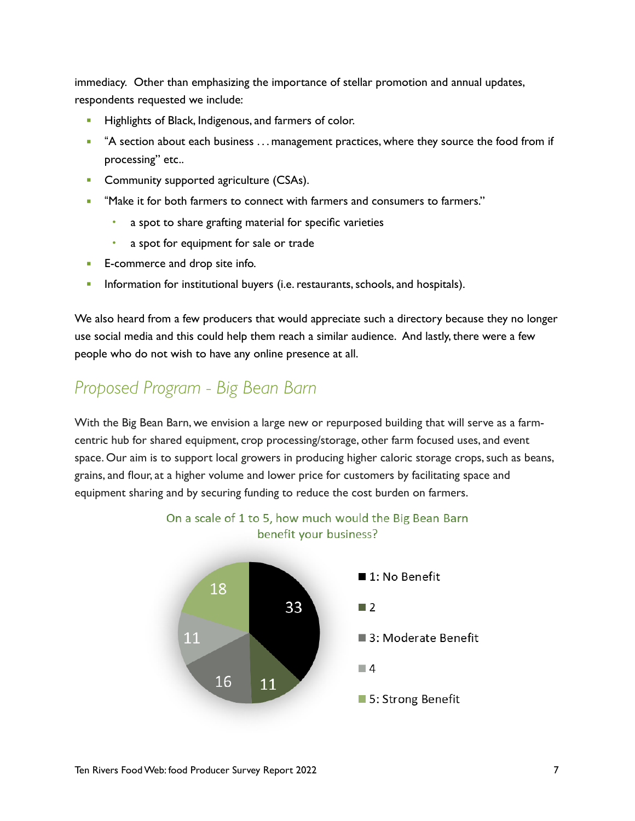immediacy. Other than emphasizing the importance of stellar promotion and annual updates, respondents requested we include:

- Highlights of Black, Indigenous, and farmers of color.
- <sup>"</sup>A section about each business . . . management practices, where they source the food from if processing" etc..
- **Community supported agriculture (CSAs).**
- "Make it for both farmers to connect with farmers and consumers to farmers."
	- a spot to share grafting material for specific varieties
	- a spot for equipment for sale or trade
- **E-commerce and drop site info.**
- **EXEDENT** Information for institutional buyers (i.e. restaurants, schools, and hospitals).

We also heard from a few producers that would appreciate such a directory because they no longer use social media and this could help them reach a similar audience. And lastly, there were a few people who do not wish to have any online presence at all.

### *Proposed Program - Big Bean Barn*

With the Big Bean Barn, we envision a large new or repurposed building that will serve as a farmcentric hub for shared equipment, crop processing/storage, other farm focused uses, and event space. Our aim is to support local growers in producing higher caloric storage crops, such as beans, grains, and flour, at a higher volume and lower price for customers by facilitating space and equipment sharing and by securing funding to reduce the cost burden on farmers.



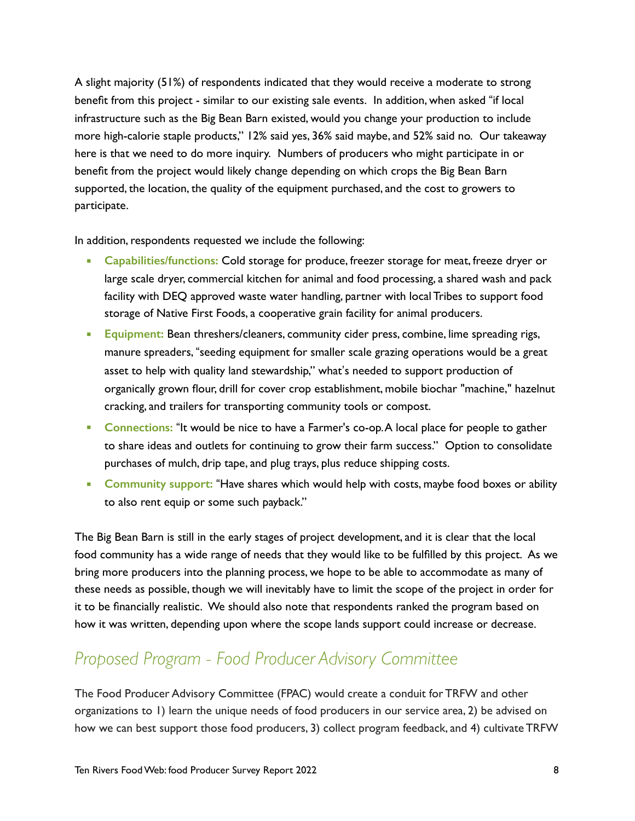A slight majority (51%) of respondents indicated that they would receive a moderate to strong benefit from this project - similar to our existing sale events. In addition, when asked "if local infrastructure such as the Big Bean Barn existed, would you change your production to include more high-calorie staple products," 12% said yes, 36% said maybe, and 52% said no. Our takeaway here is that we need to do more inquiry. Numbers of producers who might participate in or benefit from the project would likely change depending on which crops the Big Bean Barn supported, the location, the quality of the equipment purchased, and the cost to growers to participate.

In addition, respondents requested we include the following:

- **EXEDENTIFY Capabilities/functions: Cold storage for produce, freezer storage for meat, freeze dryer or** large scale dryer, commercial kitchen for animal and food processing, a shared wash and pack facility with DEQ approved waste water handling, partner with local Tribes to support food storage of Native First Foods, a cooperative grain facility for animal producers.
- **Equipment:** Bean threshers/cleaners, community cider press, combine, lime spreading rigs, manure spreaders, "seeding equipment for smaller scale grazing operations would be a great asset to help with quality land stewardship," what's needed to support production of organically grown flour, drill for cover crop establishment, mobile biochar "machine," hazelnut cracking, and trailers for transporting community tools or compost.
- **EXP** Connections: "It would be nice to have a Farmer's co-op. A local place for people to gather to share ideas and outlets for continuing to grow their farm success." Option to consolidate purchases of mulch, drip tape, and plug trays, plus reduce shipping costs.
- **EXP** Community support: "Have shares which would help with costs, maybe food boxes or ability to also rent equip or some such payback."

The Big Bean Barn is still in the early stages of project development, and it is clear that the local food community has a wide range of needs that they would like to be fulfilled by this project. As we bring more producers into the planning process, we hope to be able to accommodate as many of these needs as possible, though we will inevitably have to limit the scope of the project in order for it to be financially realistic. We should also note that respondents ranked the program based on how it was written, depending upon where the scope lands support could increase or decrease.

## *Proposed Program - Food Producer Advisory Committee*

The Food Producer Advisory Committee (FPAC) would create a conduit for TRFW and other organizations to 1) learn the unique needs of food producers in our service area, 2) be advised on how we can best support those food producers, 3) collect program feedback, and 4) cultivate TRFW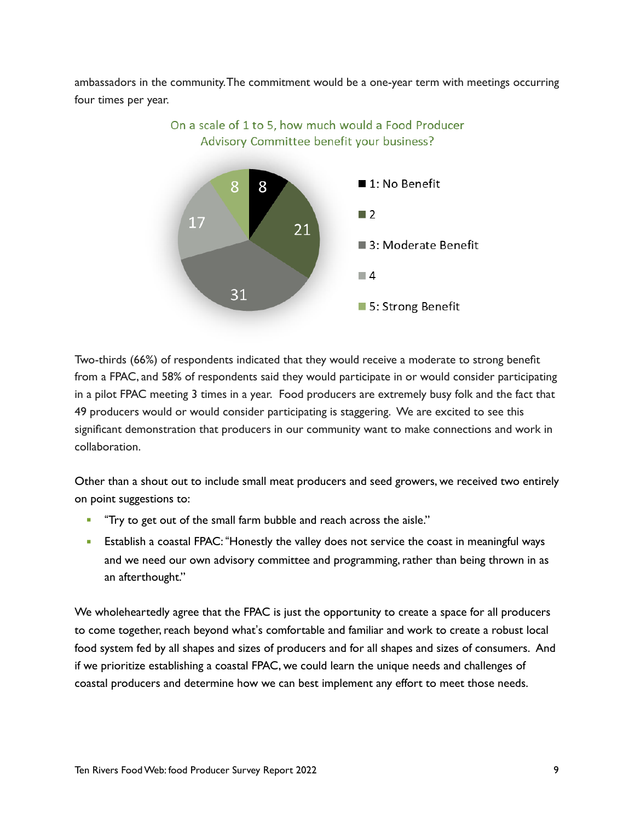ambassadors in the community. The commitment would be a one-year term with meetings occurring four times per year.



On a scale of 1 to 5, how much would a Food Producer Advisory Committee benefit your business?

Two-thirds (66%) of respondents indicated that they would receive a moderate to strong benefit from a FPAC, and 58% of respondents said they would participate in or would consider participating in a pilot FPAC meeting 3 times in a year. Food producers are extremely busy folk and the fact that 49 producers would or would consider participating is staggering. We are excited to see this significant demonstration that producers in our community want to make connections and work in collaboration.

Other than a shout out to include small meat producers and seed growers, we received two entirely on point suggestions to:

- "Try to get out of the small farm bubble and reach across the aisle."
- **Establish a coastal FPAC: "Honestly the valley does not service the coast in meaningful ways** and we need our own advisory committee and programming, rather than being thrown in as an afterthought."

We wholeheartedly agree that the FPAC is just the opportunity to create a space for all producers to come together, reach beyond what's comfortable and familiar and work to create a robust local food system fed by all shapes and sizes of producers and for all shapes and sizes of consumers. And if we prioritize establishing a coastal FPAC, we could learn the unique needs and challenges of coastal producers and determine how we can best implement any effort to meet those needs.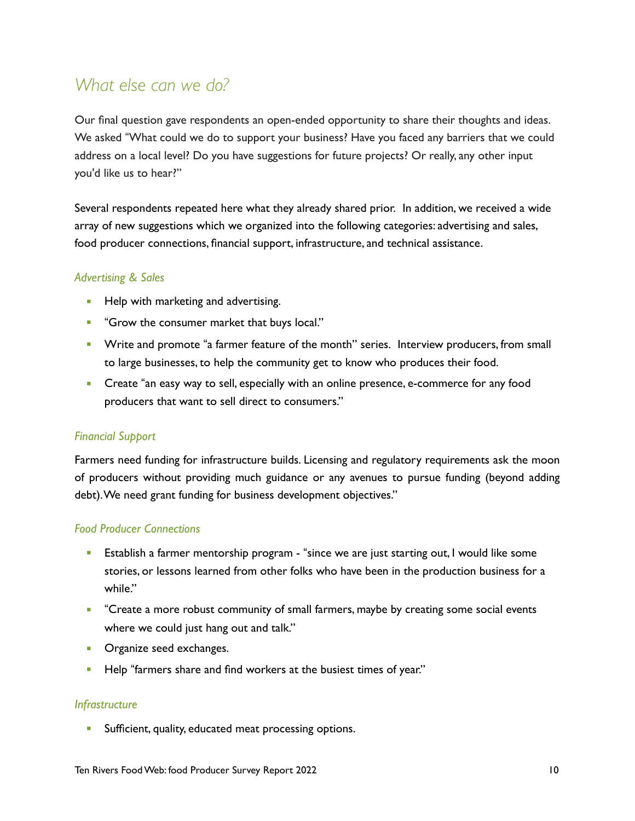### *What else can we do?*

Our final question gave respondents an open-ended opportunity to share their thoughts and ideas. We asked "What could we do to support your business? Have you faced any barriers that we could address on a local level? Do you have suggestions for future projects? Or really, any other input you'd like us to hear?"

Several respondents repeated here what they already shared prior. In addition, we received a wide array of new suggestions which we organized into the following categories: advertising and sales, food producer connections, financial support, infrastructure, and technical assistance.

### *Advertising & Sales*

- **Help with marketing and advertising.**
- **•** "Grow the consumer market that buys local."
- **•** Write and promote "a farmer feature of the month" series. Interview producers, from small to large businesses, to help the community get to know who produces their food.
- **•** Create "an easy way to sell, especially with an online presence, e-commerce for any food producers that want to sell direct to consumers."

### *Financial Support*

Farmers need funding for infrastructure builds. Licensing and regulatory requirements ask the moon of producers without providing much guidance or any avenues to pursue funding (beyond adding debt). We need grant funding for business development objectives."

### *Food Producer Connections*

- **E** Establish a farmer mentorship program "since we are just starting out, I would like some stories, or lessons learned from other folks who have been in the production business for a while."
- **■** "Create a more robust community of small farmers, maybe by creating some social events where we could just hang out and talk."
- **•** Organize seed exchanges.
- **EXEL THES** "farmers share and find workers at the busiest times of year."

### *Infrastructure*

**EXECUTE:** Sufficient, quality, educated meat processing options.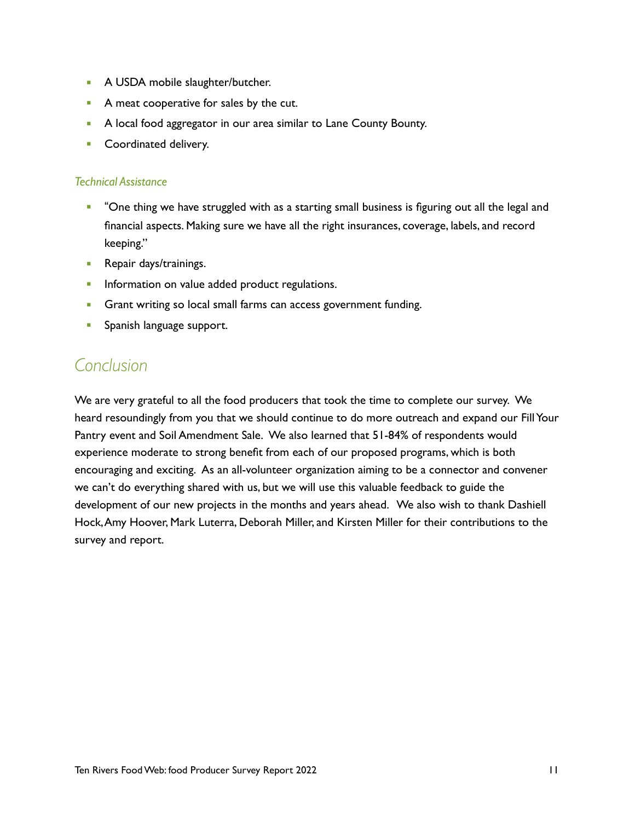- **A USDA mobile slaughter/butcher.**
- **A meat cooperative for sales by the cut.**
- **A local food aggregator in our area similar to Lane County Bounty.**
- **EXECO** Coordinated delivery.

### *Technical Assistance*

- **•** "One thing we have struggled with as a starting small business is figuring out all the legal and financial aspects. Making sure we have all the right insurances, coverage, labels, and record keeping."
- **Repair days/trainings.**
- **·** Information on value added product regulations.
- **Grant writing so local small farms can access government funding.**
- **•** Spanish language support.

### *Conclusion*

We are very grateful to all the food producers that took the time to complete our survey. We heard resoundingly from you that we should continue to do more outreach and expand our Fill Your Pantry event and Soil Amendment Sale. We also learned that 51-84% of respondents would experience moderate to strong benefit from each of our proposed programs, which is both encouraging and exciting. As an all-volunteer organization aiming to be a connector and convener we can't do everything shared with us, but we will use this valuable feedback to guide the development of our new projects in the months and years ahead. We also wish to thank Dashiell Hock, Amy Hoover, Mark Luterra, Deborah Miller, and Kirsten Miller for their contributions to the survey and report.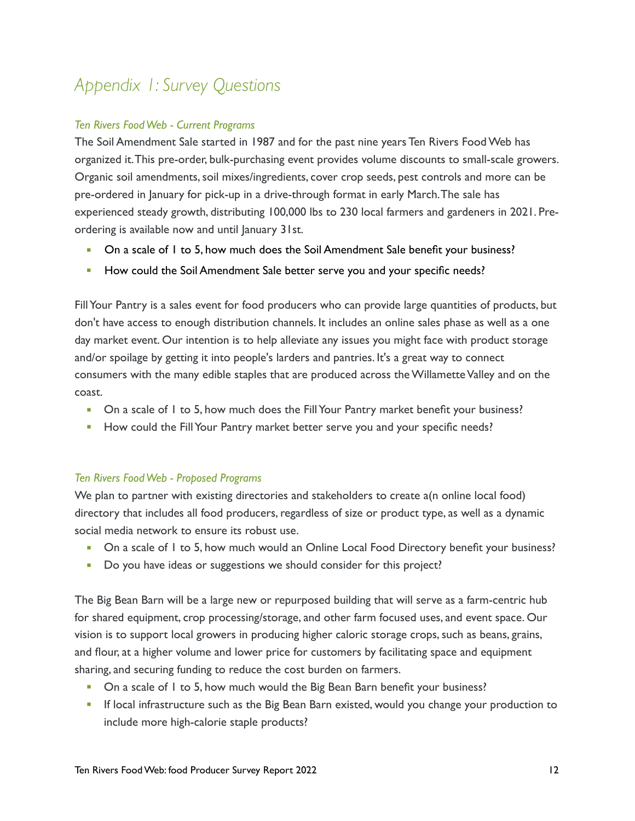# *Appendix 1: Survey Questions*

### *Ten Rivers Food Web - Current Programs*

The Soil Amendment Sale started in 1987 and for the past nine years Ten Rivers Food Web has organized it. This pre-order, bulk-purchasing event provides volume discounts to small-scale growers. Organic soil amendments, soil mixes/ingredients, cover crop seeds, pest controls and more can be pre-ordered in January for pick-up in a drive-through format in early March. The sale has experienced steady growth, distributing 100,000 lbs to 230 local farmers and gardeners in 2021. Preordering is available now and until January 31st.

- **On a scale of I to 5, how much does the Soil Amendment Sale benefit your business?**
- **EXED** How could the Soil Amendment Sale better serve you and your specific needs?

Fill Your Pantry is a sales event for food producers who can provide large quantities of products, but don't have access to enough distribution channels. It includes an online sales phase as well as a one day market event. Our intention is to help alleviate any issues you might face with product storage and/or spoilage by getting it into people's larders and pantries. It's a great way to connect consumers with the many edible staples that are produced across the Willamette Valley and on the coast.

- On a scale of 1 to 5, how much does the Fill Your Pantry market benefit your business?
- **EXEDENT HOW COULD the Fill Your Pantry market better serve you and your specific needs?**

### *Ten Rivers Food Web - Proposed Programs*

We plan to partner with existing directories and stakeholders to create a(n online local food) directory that includes all food producers, regardless of size or product type, as well as a dynamic social media network to ensure its robust use.

- On a scale of 1 to 5, how much would an Online Local Food Directory benefit your business?
- Do you have ideas or suggestions we should consider for this project?

The Big Bean Barn will be a large new or repurposed building that will serve as a farm-centric hub for shared equipment, crop processing/storage, and other farm focused uses, and event space. Our vision is to support local growers in producing higher caloric storage crops, such as beans, grains, and flour, at a higher volume and lower price for customers by facilitating space and equipment sharing, and securing funding to reduce the cost burden on farmers.

- On a scale of 1 to 5, how much would the Big Bean Barn benefit your business?
- **•** If local infrastructure such as the Big Bean Barn existed, would you change your production to include more high-calorie staple products?